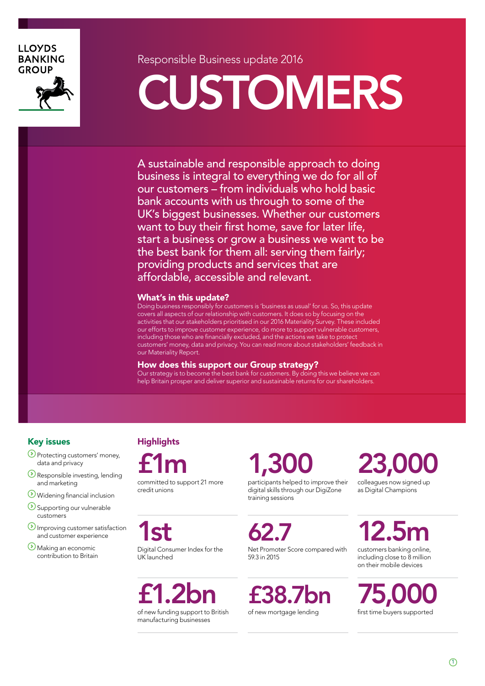### **LLOYDS BANKING GROUP**



Responsible Business update 2016

# CUSTOMERS

A sustainable and responsible approach to doing business is integral to everything we do for all of our customers – from individuals who hold basic bank accounts with us through to some of the UK's biggest businesses. Whether our customers want to buy their first home, save for later life, start a business or grow a business we want to be the best bank for them all: serving them fairly; providing products and services that are affordable, accessible and relevant.

#### What's in this update?

Doing business responsibly for customers is 'business as usual' for us. So, this update covers all aspects of our relationship with customers. It does so by focusing on the activities that our stakeholders prioritised in our 2016 Materiality Survey. These included our efforts to improve customer experience, do more to support vulnerable customers, including those who are financially excluded, and the actions we take to protect customers' money, data and privacy. You can read more about stakeholders' feedback in our Materiality Report.

#### How does this support our Group strategy?

Our strategy is to become the best bank for customers. By doing this we believe we can help Britain prosper and deliver superior and sustainable returns for our shareholders.

### Key issues

- Protecting customers' money, data and privacy
- **Responsible investing, lending** and marketing
- Widening financial inclusion
- Supporting our vulnerable customers
- **Improving customer satisfaction** and customer experience
- Making an economic contribution to Britain

### **Highlights**

1st

UK launched

£1m committed to support 21 more credit unions

1,300 participants helped to improve their digital skills through our DigiZone training sessions

62.7 Net Promoter Score compared with 59.3 in 2015

£38.7bn of new mortgage lending

**23,0** 

colleagues now signed up as Digital Champions

12.5m customers banking online,

including close to 8 million on their mobile devices

75,000 first time buyers supported

£1.2bn

Digital Consumer Index for the

of new funding support to British manufacturing businesses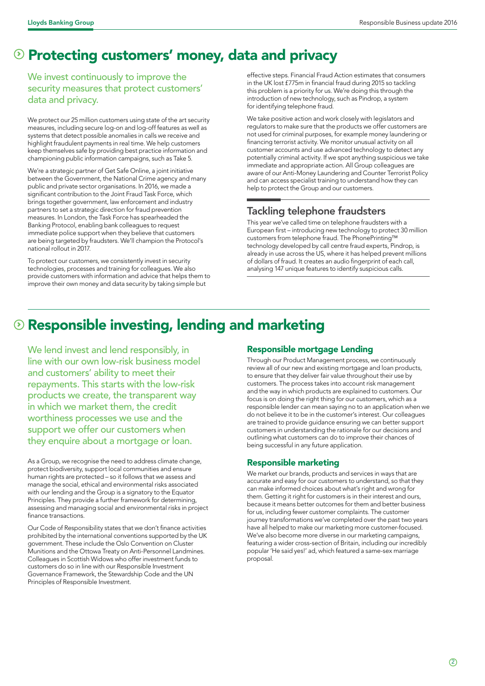# **Example 2 Protecting customers' money, data and privacy**

We invest continuously to improve the security measures that protect customers' data and privacy.

We protect our 25 million customers using state of the art security measures, including secure log-on and log-off features as well as systems that detect possible anomalies in calls we receive and highlight fraudulent payments in real time. We help customers keep themselves safe by providing best practice information and championing public information campaigns, such as Take 5.

We're a strategic partner of Get Safe Online, a joint initiative between the Government, the National Crime agency and many public and private sector organisations. In 2016, we made a significant contribution to the Joint Fraud Task Force, which brings together government, law enforcement and industry partners to set a strategic direction for fraud prevention measures. In London, the Task Force has spearheaded the Banking Protocol, enabling bank colleagues to request immediate police support when they believe that customers are being targeted by fraudsters. We'll champion the Protocol's national rollout in 2017.

To protect our customers, we consistently invest in security technologies, processes and training for colleagues. We also provide customers with information and advice that helps them to improve their own money and data security by taking simple but

effective steps. Financial Fraud Action estimates that consumers in the UK lost £775m in financial fraud during 2015 so tackling this problem is a priority for us. We're doing this through the introduction of new technology, such as Pindrop, a system for identifying telephone fraud.

We take positive action and work closely with legislators and regulators to make sure that the products we offer customers are not used for criminal purposes, for example money laundering or financing terrorist activity. We monitor unusual activity on all customer accounts and use advanced technology to detect any potentially criminal activity. If we spot anything suspicious we take immediate and appropriate action. All Group colleagues are aware of our Anti-Money Laundering and Counter Terrorist Policy and can access specialist training to understand how they can help to protect the Group and our customers.

### Tackling telephone fraudsters

This year we've called time on telephone fraudsters with a European first – introducing new technology to protect 30 million customers from telephone fraud. The PhonePrinting™ technology developed by call centre fraud experts, Pindrop, is already in use across the US, where it has helped prevent millions of dollars of fraud. It creates an audio fingerprint of each call, analysing 147 unique features to identify suspicious calls.

# **8 Responsible investing, lending and marketing**

We lend invest and lend responsibly, in line with our own low-risk business model and customers' ability to meet their repayments. This starts with the low-risk products we create, the transparent way in which we market them, the credit worthiness processes we use and the support we offer our customers when they enquire about a mortgage or loan.

As a Group, we recognise the need to address climate change, protect biodiversity, support local communities and ensure human rights are protected – so it follows that we assess and manage the social, ethical and environmental risks associated with our lending and the Group is a signatory to the Equator Principles. They provide a further framework for determining, assessing and managing social and environmental risks in project finance transactions.

Our Code of Responsibility states that we don't finance activities prohibited by the international conventions supported by the UK government. These include the Oslo Convention on Cluster Munitions and the Ottowa Treaty on Anti-Personnel Landmines. Colleagues in Scottish Widows who offer investment funds to customers do so in line with our Responsible Investment Governance Framework, the Stewardship Code and the UN Principles of Responsible Investment.

### Responsible mortgage Lending

Through our Product Management process, we continuously review all of our new and existing mortgage and loan products, to ensure that they deliver fair value throughout their use by customers. The process takes into account risk management and the way in which products are explained to customers. Our focus is on doing the right thing for our customers, which as a responsible lender can mean saying no to an application when we do not believe it to be in the customer's interest. Our colleagues are trained to provide guidance ensuring we can better support customers in understanding the rationale for our decisions and outlining what customers can do to improve their chances of being successful in any future application.

### Responsible marketing

We market our brands, products and services in ways that are accurate and easy for our customers to understand, so that they can make informed choices about what's right and wrong for them. Getting it right for customers is in their interest and ours, because it means better outcomes for them and better business for us, including fewer customer complaints. The customer journey transformations we've completed over the past two years have all helped to make our marketing more customer-focused. We've also become more diverse in our marketing campaigns, featuring a wider cross-section of Britain, including our incredibly popular 'He said yes!' ad, which featured a same-sex marriage proposal.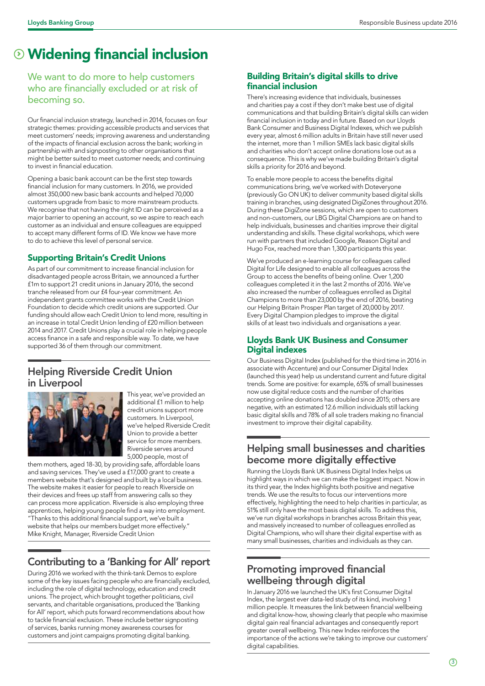# Widening financial inclusion

We want to do more to help customers who are financially excluded or at risk of becoming so.

Our financial inclusion strategy, launched in 2014, focuses on four strategic themes: providing accessible products and services that meet customers' needs; improving awareness and understanding of the impacts of financial exclusion across the bank; working in partnership with and signposting to other organisations that might be better suited to meet customer needs; and continuing to invest in financial education.

Opening a basic bank account can be the first step towards financial inclusion for many customers. In 2016, we provided almost 350,000 new basic bank accounts and helped 70,000 customers upgrade from basic to more mainstream products. We recognise that not having the right ID can be perceived as a major barrier to opening an account, so we aspire to reach each customer as an individual and ensure colleagues are equipped to accept many different forms of ID. We know we have more to do to achieve this level of personal service.

### Supporting Britain's Credit Unions

As part of our commitment to increase financial inclusion for disadvantaged people across Britain, we announced a further £1m to support 21 credit unions in January 2016, the second tranche released from our £4 four-year commitment. An independent grants committee works with the Credit Union Foundation to decide which credit unions are supported. Our funding should allow each Credit Union to lend more, resulting in an increase in total Credit Union lending of £20 million between 2014 and 2017. Credit Unions play a crucial role in helping people access finance in a safe and responsible way. To date, we have supported 36 of them through our commitment.

### Helping Riverside Credit Union in Liverpool



This year, we've provided an additional £1 million to help credit unions support more customers. In Liverpool, we've helped Riverside Credit Union to provide a better service for more members. Riverside serves around 5,000 people, most of

them mothers, aged 18-30, by providing safe, affordable loans and saving services. They've used a £17,000 grant to create a members website that's designed and built by a local business. The website makes it easier for people to reach Riverside on their devices and frees up staff from answering calls so they can process more application. Riverside is also employing three apprentices, helping young people find a way into employment. "Thanks to this additional financial support, we've built a website that helps our members budget more effectively." Mike Knight, Manager, Riverside Credit Union

### Contributing to a 'Banking for All' report

During 2016 we worked with the think-tank Demos to explore some of the key issues facing people who are financially excluded, including the role of digital technology, education and credit unions. The project, which brought together politicians, civil servants, and charitable organisations, produced the 'Banking for All' report, which puts forward recommendations about how to tackle financial exclusion. These include better signposting of services, banks running money awareness courses for customers and joint campaigns promoting digital banking.

### Building Britain's digital skills to drive financial inclusion

There's increasing evidence that individuals, businesses and charities pay a cost if they don't make best use of digital communications and that building Britain's digital skills can widen financial inclusion in today and in future. Based on our Lloyds Bank Consumer and Business Digital Indexes, which we publish every year, almost 6 million adults in Britain have still never used the internet, more than 1 million SMEs lack basic digital skills and charities who don't accept online donations lose out as a consequence. This is why we've made building Britain's digital skills a priority for 2016 and beyond.

To enable more people to access the benefits digital communications bring, we've worked with Doteveryone (previously Go ON UK) to deliver community based digital skills training in branches, using designated DigiZones throughout 2016. During these DigiZone sessions, which are open to customers and non-customers, our LBG Digital Champions are on hand to help individuals, businesses and charities improve their digital understanding and skills. These digital workshops, which were run with partners that included Google, Reason Digital and Hugo Fox, reached more than 1,300 participants this year.

We've produced an e-learning course for colleagues called Digital for Life designed to enable all colleagues across the Group to access the benefits of being online. Over 1,200 colleagues completed it in the last 2 months of 2016. We've also increased the number of colleagues enrolled as Digital Champions to more than 23,000 by the end of 2016, beating our Helping Britain Prosper Plan target of 20,000 by 2017. Every Digital Champion pledges to improve the digital skills of at least two individuals and organisations a year.

### Lloyds Bank UK Business and Consumer Digital indexes

Our Business Digital Index (published for the third time in 2016 in associate with Accenture) and our Consumer Digital Index (launched this year) help us understand current and future digital trends. Some are positive: for example, 65% of small businesses now use digital reduce costs and the number of charities accepting online donations has doubled since 2015; others are negative, with an estimated 12.6 million individuals still lacking basic digital skills and 78% of all sole traders making no financial investment to improve their digital capability.

### Helping small businesses and charities become more digitally effective

Running the Lloyds Bank UK Business Digital Index helps us highlight ways in which we can make the biggest impact. Now in its third year, the Index highlights both positive and negative trends. We use the results to focus our interventions more effectively, highlighting the need to help charities in particular, as 51% still only have the most basis digital skills. To address this, we've run digital workshops in branches across Britain this year, and massively increased to number of colleagues enrolled as Digital Champions, who will share their digital expertise with as many small businesses, charities and individuals as they can.

### Promoting improved financial wellbeing through digital

In January 2016 we launched the UK's first Consumer Digital Index, the largest ever data-led study of its kind, involving 1 million people. It measures the link between financial wellbeing and digital know-how, showing clearly that people who maximise digital gain real financial advantages and consequently report greater overall wellbeing. This new Index reinforces the importance of the actions we're taking to improve our customers' digital capabilities.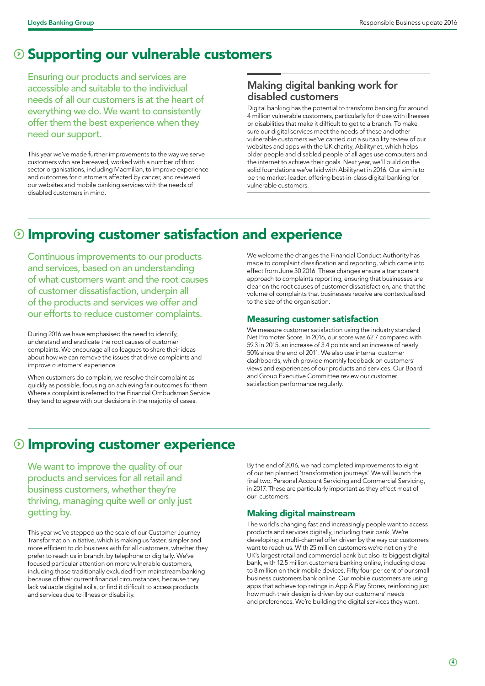# **Supporting our vulnerable customers**

Ensuring our products and services are accessible and suitable to the individual needs of all our customers is at the heart of everything we do. We want to consistently offer them the best experience when they need our support.

This year we've made further improvements to the way we serve customers who are bereaved, worked with a number of third sector organisations, including Macmillan, to improve experience and outcomes for customers affected by cancer, and reviewed our websites and mobile banking services with the needs of disabled customers in mind.

### Making digital banking work for disabled customers

Digital banking has the potential to transform banking for around 4 million vulnerable customers, particularly for those with illnesses or disabilities that make it difficult to get to a branch. To make sure our digital services meet the needs of these and other vulnerable customers we've carried out a suitability review of our websites and apps with the UK charity, Abilitynet, which helps older people and disabled people of all ages use computers and the internet to achieve their goals. Next year, we'll build on the solid foundations we've laid with Abilitynet in 2016. Our aim is to be the market-leader, offering best-in-class digital banking for vulnerable customers.

# Improving customer satisfaction and experience

Continuous improvements to our products and services, based on an understanding of what customers want and the root causes of customer dissatisfaction, underpin all of the products and services we offer and our efforts to reduce customer complaints.

During 2016 we have emphasised the need to identify, understand and eradicate the root causes of customer complaints. We encourage all colleagues to share their ideas about how we can remove the issues that drive complaints and improve customers' experience.

When customers do complain, we resolve their complaint as quickly as possible, focusing on achieving fair outcomes for them. Where a complaint is referred to the Financial Ombudsman Service they tend to agree with our decisions in the majority of cases.

We welcome the changes the Financial Conduct Authority has made to complaint classification and reporting, which came into effect from June 30 2016. These changes ensure a transparent approach to complaints reporting, ensuring that businesses are clear on the root causes of customer dissatisfaction, and that the volume of complaints that businesses receive are contextualised to the size of the organisation.

### Measuring customer satisfaction

We measure customer satisfaction using the industry standard Net Promoter Score. In 2016, our score was 62.7 compared with 59.3 in 2015, an increase of 3.4 points and an increase of nearly 50% since the end of 2011. We also use internal customer dashboards, which provide monthly feedback on customers' views and experiences of our products and services. Our Board and Group Executive Committee review our customer satisfaction performance regularly.

### **<sup>1</sup>** Improving customer experience

We want to improve the quality of our products and services for all retail and business customers, whether they're thriving, managing quite well or only just getting by.

This year we've stepped up the scale of our Customer Journey Transformation initiative, which is making us faster, simpler and more efficient to do business with for all customers, whether they prefer to reach us in branch, by telephone or digitally. We've focused particular attention on more vulnerable customers, including those traditionally excluded from mainstream banking because of their current financial circumstances, because they lack valuable digital skills, or find it difficult to access products and services due to illness or disability.

By the end of 2016, we had completed improvements to eight of our ten planned 'transformation journeys'. We will launch the final two, Personal Account Servicing and Commercial Servicing, in 2017. These are particularly important as they effect most of our customers.

### Making digital mainstream

The world's changing fast and increasingly people want to access products and services digitally, including their bank. We're developing a multi-channel offer driven by the way our customers want to reach us. With 25 million customers we're not only the UK's largest retail and commercial bank but also its biggest digital bank, with 12.5 million customers banking online, including close to 8 million on their mobile devices. Fifty four per cent of our small business customers bank online. Our mobile customers are using apps that achieve top ratings in App & Play Stores, reinforcing just how much their design is driven by our customers' needs and preferences. We're building the digital services they want.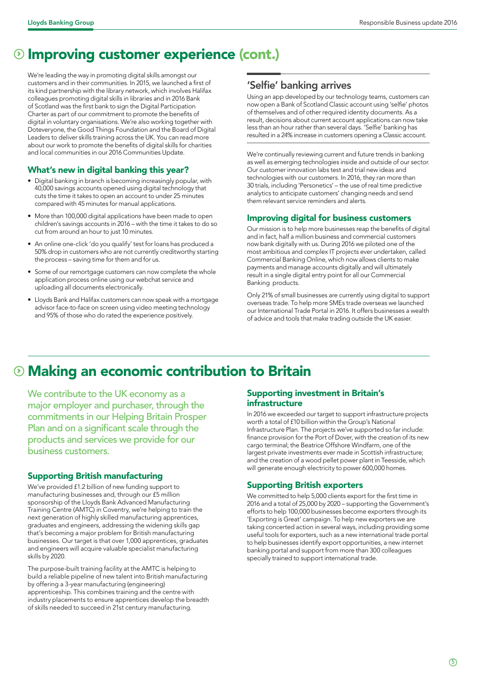## **<sup>1</sup>** Improving customer experience (cont.)

We're leading the way in promoting digital skills amongst our customers and in their communities. In 2015, we launched a first of its kind partnership with the library network, which involves Halifax colleagues promoting digital skills in libraries and in 2016 Bank of Scotland was the first bank to sign the Digital Participation Charter as part of our commitment to promote the benefits of digital in voluntary organisations. We're also working together with Doteveryone, the Good Things Foundation and the Board of Digital Leaders to deliver skills training across the UK. You can read more about our work to promote the benefits of digital skills for charities and local communities in our 2016 Communities Update.

#### What's new in digital banking this year?

- Digital banking in branch is becoming increasingly popular, with 40,000 savings accounts opened using digital technology that cuts the time it takes to open an account to under 25 minutes compared with 45 minutes for manual applications.
- More than 100,000 digital applications have been made to open children's savings accounts in 2016 – with the time it takes to do so cut from around an hour to just 10 minutes.
- An online one-click 'do you qualify' test for loans has produced a 50% drop in customers who are not currently creditworthy starting the process – saving time for them and for us.
- Some of our remortgage customers can now complete the whole application process online using our webchat service and uploading all documents electronically.
- Lloyds Bank and Halifax customers can now speak with a mortgage advisor face-to-face on screen using video meeting technology and 95% of those who do rated the experience positively.

### 'Selfie' banking arrives

Using an app developed by our technology teams, customers can now open a Bank of Scotland Classic account using 'selfie' photos of themselves and of other required identity documents. As a result, decisions about current account applications can now take less than an hour rather than several days. 'Selfie' banking has resulted in a 24% increase in customers opening a Classic account.

We're continually reviewing current and future trends in banking as well as emerging technologies inside and outside of our sector. Our customer innovation labs test and trial new ideas and technologies with our customers. In 2016, they ran more than 30 trials, including 'Personetics' – the use of real time predictive analytics to anticipate customers' changing needs and send them relevant service reminders and alerts.

#### Improving digital for business customers

Our mission is to help more businesses reap the benefits of digital and in fact, half a million business and commercial customers now bank digitally with us. During 2016 we piloted one of the most ambitious and complex IT projects ever undertaken, called Commercial Banking Online, which now allows clients to make payments and manage accounts digitally and will ultimately result in a single digital entry point for all our Commercial Banking products.

Only 21% of small businesses are currently using digital to support overseas trade. To help more SMEs trade overseas we launched our International Trade Portal in 2016. It offers businesses a wealth of advice and tools that make trading outside the UK easier.

# Making an economic contribution to Britain

We contribute to the UK economy as a major employer and purchaser, through the commitments in our Helping Britain Prosper Plan and on a significant scale through the products and services we provide for our business customers.

### Supporting British manufacturing

We've provided £1.2 billion of new funding support to manufacturing businesses and, through our £5 million sponsorship of the Lloyds Bank Advanced Manufacturing Training Centre (AMTC) in Coventry, we're helping to train the next generation of highly skilled manufacturing apprentices, graduates and engineers, addressing the widening skills gap that's becoming a major problem for British manufacturing businesses. Our target is that over 1,000 apprentices, graduates and engineers will acquire valuable specialist manufacturing skills by 2020.

The purpose-built training facility at the AMTC is helping to build a reliable pipeline of new talent into British manufacturing by offering a 3-year manufacturing (engineering) apprenticeship. This combines training and the centre with industry placements to ensure apprentices develop the breadth of skills needed to succeed in 21st century manufacturing.

#### Supporting investment in Britain's infrastructure

In 2016 we exceeded our target to support infrastructure projects worth a total of £10 billion within the Group's National Infrastructure Plan. The projects we've supported so far include: finance provision for the Port of Dover, with the creation of its new cargo terminal; the Beatrice Offshore Windfarm, one of the largest private investments ever made in Scottish infrastructure; and the creation of a wood pellet power plant in Teesside, which will generate enough electricity to power 600,000 homes.

#### Supporting British exporters

We committed to help 5,000 clients export for the first time in 2016 and a total of 25,000 by 2020 – supporting the Government's efforts to help 100,000 businesses become exporters through its 'Exporting is Great' campaign. To help new exporters we are taking concerted action in several ways, including providing some useful tools for exporters, such as a new international trade portal to help businesses identify export opportunities, a new internet banking portal and support from more than 300 colleagues specially trained to support international trade.